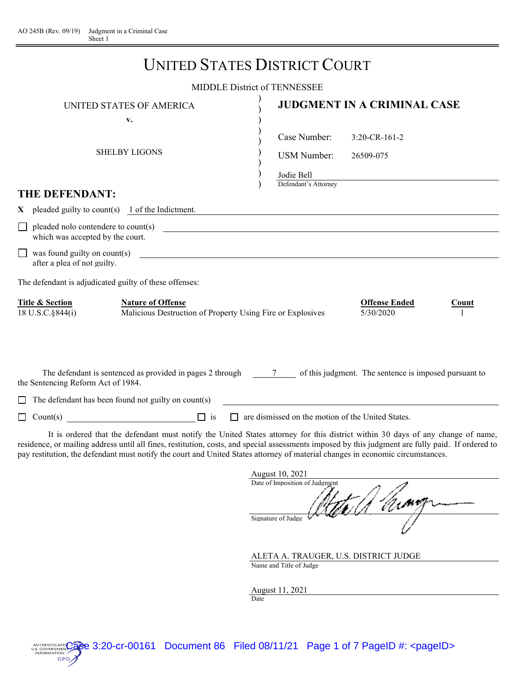|                                                  | <b>UNITED STATES DISTRICT COURT</b>                                                                                                                       |                                                                          |                                   |              |
|--------------------------------------------------|-----------------------------------------------------------------------------------------------------------------------------------------------------------|--------------------------------------------------------------------------|-----------------------------------|--------------|
|                                                  |                                                                                                                                                           | <b>MIDDLE District of TENNESSEE</b>                                      |                                   |              |
|                                                  | UNITED STATES OF AMERICA                                                                                                                                  |                                                                          | JUDGMENT IN A CRIMINAL CASE       |              |
|                                                  | v.<br><b>SHELBY LIGONS</b>                                                                                                                                | Case Number:<br><b>USM Number:</b><br>Joule Bell<br>Defendant's Attorney | $3:20$ -CR-161-2<br>26509-075     |              |
| <b>THE DEFENDANT:</b>                            |                                                                                                                                                           |                                                                          |                                   |              |
|                                                  | $X$ pleaded guilty to count(s) 1 of the Indictment.                                                                                                       |                                                                          |                                   |              |
| which was accepted by the court.                 | $\Box$ pleaded nolo contendere to count(s)                                                                                                                |                                                                          |                                   |              |
| after a plea of not guilty.                      | $\Box$ was found guilty on count(s) $\Box$                                                                                                                |                                                                          |                                   |              |
|                                                  | The defendant is adjudicated guilty of these offenses:                                                                                                    |                                                                          |                                   |              |
| <b>Title &amp; Section</b><br>18 U.S.C. § 844(i) | <b>Nature of Offense</b><br>Malicious Destruction of Property Using Fire or Explosives                                                                    |                                                                          | <b>Offense Ended</b><br>5/30/2020 | <b>Count</b> |
| the Sentencing Reform Act of 1984.               | The defendant is sentenced as provided in pages 2 through 7 of this judgment. The sentence is imposed pursuant to                                         |                                                                          |                                   |              |
|                                                  | $\Box$ The defendant has been found not guilty on count(s)                                                                                                |                                                                          |                                   |              |
|                                                  |                                                                                                                                                           | $\Box$ are dismissed on the motion of the United States.                 |                                   |              |
|                                                  | $\tau_{\rm eff}$ , and a set of the state of $\tau_{\rm eff}$ , and $\tau_{\rm eff}$ , and $\tau_{\rm eff}$ , and $\tau_{\rm eff}$ , and $\tau_{\rm eff}$ |                                                                          |                                   |              |

 It is ordered that the defendant must notify the United States attorney for this district within 30 days of any change of name, residence, or mailing address until all fines, restitution, costs, and special assessments imposed by this judgment are fully paid. If ordered to pay restitution, the defendant must notify the court and United States attorney of material changes in economic circumstances.

| August 10, 2021                |  |  |  |  |  |  |
|--------------------------------|--|--|--|--|--|--|
| Date of Imposition of Judgment |  |  |  |  |  |  |
|                                |  |  |  |  |  |  |
| Signature of Judge             |  |  |  |  |  |  |
|                                |  |  |  |  |  |  |

ALETA A. TRAUGER, U.S. DISTRICT JUDGE Name and Title of Judge

August 11, 2021 Date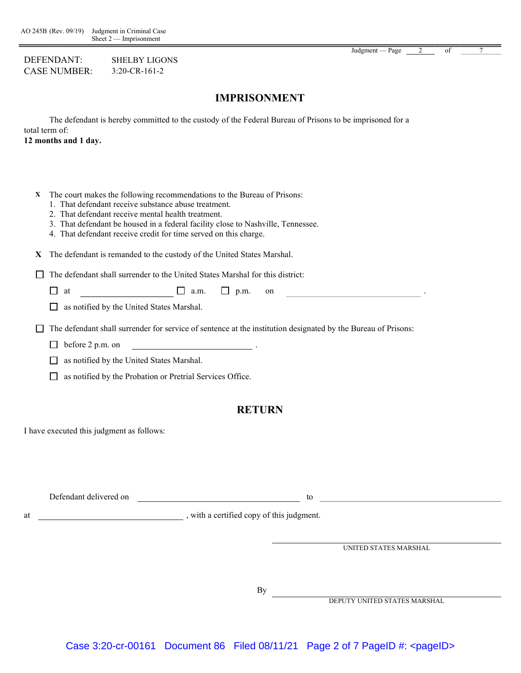DEFENDANT: SHELBY LIGONS CASE NUMBER: 3:20-CR-161-2

#### Judgment — Page 2 of

### IMPRISONMENT

The defendant is hereby committed to the custody of the Federal Bureau of Prisons to be imprisoned for a total term of:

12 months and 1 day.

- X The court makes the following recommendations to the Bureau of Prisons:
	- 1. That defendant receive substance abuse treatment.
	- 2. That defendant receive mental health treatment.
	- 3. That defendant be housed in a federal facility close to Nashville, Tennessee.
	- 4. That defendant receive credit for time served on this charge.
- X The defendant is remanded to the custody of the United States Marshal.

 $\Box$  The defendant shall surrender to the United States Marshal for this district:

 $\Box$  at  $\Box$  a.m.  $\Box$  p.m. on

as notified by the United States Marshal.

The defendant shall surrender for service of sentence at the institution designated by the Bureau of Prisons:

- $\Box$  before 2 p.m. on
- as notified by the United States Marshal.
- as notified by the Probation or Pretrial Services Office.

#### RETURN

I have executed this judgment as follows:

Defendant delivered on the contract of the contract of the contract of the contract of the contract of the contract of the contract of the contract of the contract of the contract of the contract of the contract of the con

at  $\frac{1}{\sqrt{1-\frac{1}{\sqrt{1-\frac{1}{\sqrt{1-\frac{1}{\sqrt{1-\frac{1}{\sqrt{1-\frac{1}{\sqrt{1-\frac{1}{\sqrt{1-\frac{1}{\sqrt{1-\frac{1}{\sqrt{1-\frac{1}{\sqrt{1-\frac{1}{\sqrt{1-\frac{1}{\sqrt{1-\frac{1}{\sqrt{1-\frac{1}{\sqrt{1-\frac{1}{\sqrt{1-\frac{1}{\sqrt{1-\frac{1}{\sqrt{1-\frac{1}{\sqrt{1-\frac{1}{\sqrt{1-\frac{1}{\sqrt{1-\frac{1}{\sqrt{1-\frac{1}{\sqrt{1-\frac{1}{\sqrt{1-\frac{1}{\sqrt{1-\frac$ 

UNITED STATES MARSHAL

By

DEPUTY UNITED STATES MARSHAL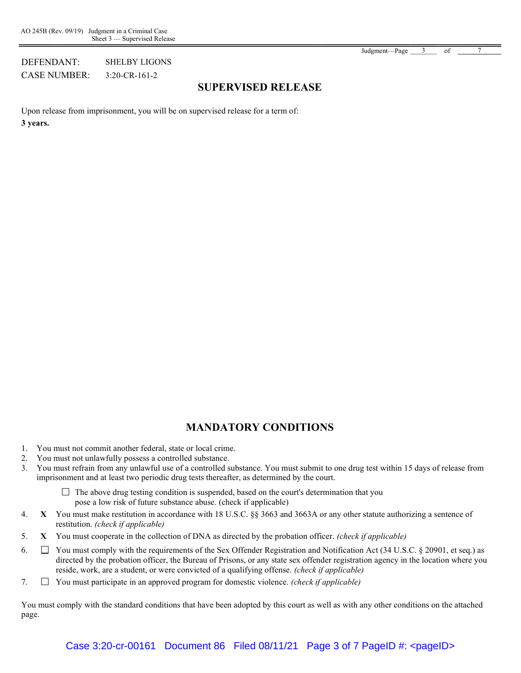Judgment—Page 3 of

#### DEFENDANT: SHELBY LIGONS CASE NUMBER: 3:20-CR-161-2

SUPERVISED RELEASE

Upon release from imprisonment, you will be on supervised release for a term of: 3 years.

# MANDATORY CONDITIONS

- 1. You must not commit another federal, state or local crime.
- 2. You must not unlawfully possess a controlled substance.
- 3. You must refrain from any unlawful use of a controlled substance. You must submit to one drug test within 15 days of release from imprisonment and at least two periodic drug tests thereafter, as determined by the court.
	- $\Box$  The above drug testing condition is suspended, based on the court's determination that you pose a low risk of future substance abuse. (check if applicable)
- 4. X You must make restitution in accordance with 18 U.S.C. §§ 3663 and 3663A or any other statute authorizing a sentence of restitution. (check if applicable)
- 5. X You must cooperate in the collection of DNA as directed by the probation officer. (check if applicable)
- 6.  $\Box$  You must comply with the requirements of the Sex Offender Registration and Notification Act (34 U.S.C. § 20901, et seq.) as directed by the probation officer, the Bureau of Prisons, or any state sex offender registration agency in the location where you reside, work, are a student, or were convicted of a qualifying offense. (check if applicable)
- 7.  $\Box$  You must participate in an approved program for domestic violence. *(check if applicable)*

You must comply with the standard conditions that have been adopted by this court as well as with any other conditions on the attached page.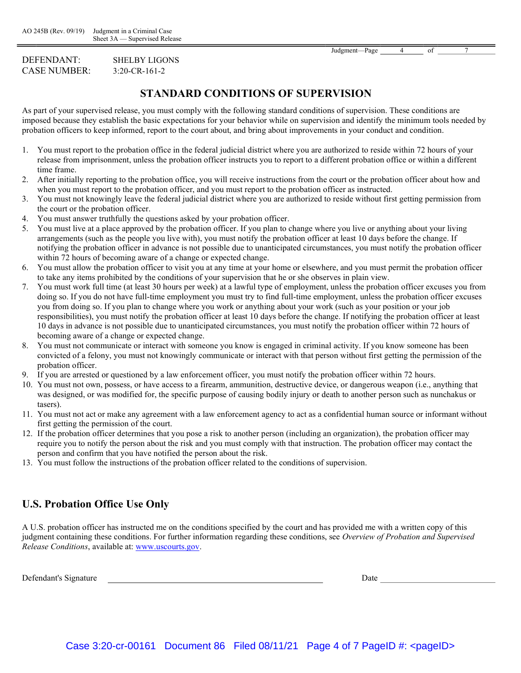#### DEFENDANT: SHELBY LIGONS CASE NUMBER: 3:20-CR-161-2

# STANDARD CONDITIONS OF SUPERVISION

As part of your supervised release, you must comply with the following standard conditions of supervision. These conditions are imposed because they establish the basic expectations for your behavior while on supervision and identify the minimum tools needed by probation officers to keep informed, report to the court about, and bring about improvements in your conduct and condition.

- 1. You must report to the probation office in the federal judicial district where you are authorized to reside within 72 hours of your release from imprisonment, unless the probation officer instructs you to report to a different probation office or within a different time frame.
- 2. After initially reporting to the probation office, you will receive instructions from the court or the probation officer about how and when you must report to the probation officer, and you must report to the probation officer as instructed.
- 3. You must not knowingly leave the federal judicial district where you are authorized to reside without first getting permission from the court or the probation officer.
- 4. You must answer truthfully the questions asked by your probation officer.
- 5. You must live at a place approved by the probation officer. If you plan to change where you live or anything about your living arrangements (such as the people you live with), you must notify the probation officer at least 10 days before the change. If notifying the probation officer in advance is not possible due to unanticipated circumstances, you must notify the probation officer within 72 hours of becoming aware of a change or expected change.
- 6. You must allow the probation officer to visit you at any time at your home or elsewhere, and you must permit the probation officer to take any items prohibited by the conditions of your supervision that he or she observes in plain view.
- 7. You must work full time (at least 30 hours per week) at a lawful type of employment, unless the probation officer excuses you from doing so. If you do not have full-time employment you must try to find full-time employment, unless the probation officer excuses you from doing so. If you plan to change where you work or anything about your work (such as your position or your job responsibilities), you must notify the probation officer at least 10 days before the change. If notifying the probation officer at least 10 days in advance is not possible due to unanticipated circumstances, you must notify the probation officer within 72 hours of becoming aware of a change or expected change.
- 8. You must not communicate or interact with someone you know is engaged in criminal activity. If you know someone has been convicted of a felony, you must not knowingly communicate or interact with that person without first getting the permission of the probation officer.
- 9. If you are arrested or questioned by a law enforcement officer, you must notify the probation officer within 72 hours.
- 10. You must not own, possess, or have access to a firearm, ammunition, destructive device, or dangerous weapon (i.e., anything that was designed, or was modified for, the specific purpose of causing bodily injury or death to another person such as nunchakus or tasers).
- 11. You must not act or make any agreement with a law enforcement agency to act as a confidential human source or informant without first getting the permission of the court.
- 12. If the probation officer determines that you pose a risk to another person (including an organization), the probation officer may require you to notify the person about the risk and you must comply with that instruction. The probation officer may contact the person and confirm that you have notified the person about the risk.
- 13. You must follow the instructions of the probation officer related to the conditions of supervision.

# U.S. Probation Office Use Only

A U.S. probation officer has instructed me on the conditions specified by the court and has provided me with a written copy of this judgment containing these conditions. For further information regarding these conditions, see Overview of Probation and Supervised Release Conditions, available at: www.uscourts.gov.

Defendant's Signature Date Date of the United States of the Date of the United States of the Date of the United States of the United States of the United States of the United States of the United States of the United State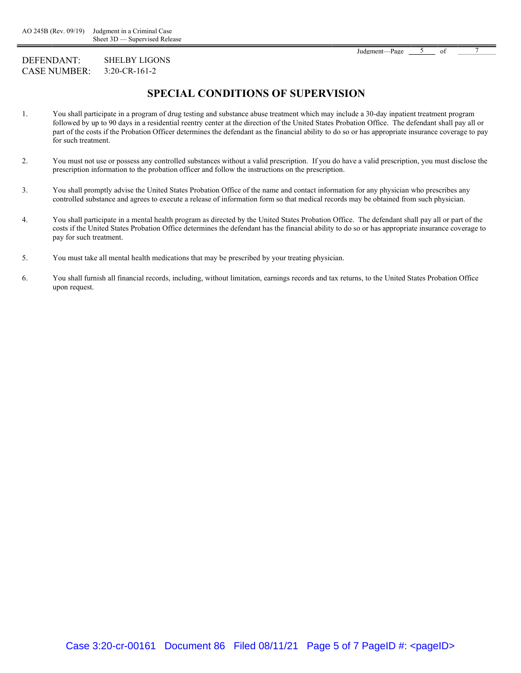#### DEFENDANT: SHELBY LIGONS CASE NUMBER: 3:20-CR-161-2

# SPECIAL CONDITIONS OF SUPERVISION

- 1. You shall participate in a program of drug testing and substance abuse treatment which may include a 30-day inpatient treatment program followed by up to 90 days in a residential reentry center at the direction of the United States Probation Office. The defendant shall pay all or part of the costs if the Probation Officer determines the defendant as the financial ability to do so or has appropriate insurance coverage to pay for such treatment.
- 2. You must not use or possess any controlled substances without a valid prescription. If you do have a valid prescription, you must disclose the prescription information to the probation officer and follow the instructions on the prescription.
- 3. You shall promptly advise the United States Probation Office of the name and contact information for any physician who prescribes any controlled substance and agrees to execute a release of information form so that medical records may be obtained from such physician.
- 4. You shall participate in a mental health program as directed by the United States Probation Office. The defendant shall pay all or part of the costs if the United States Probation Office determines the defendant has the financial ability to do so or has appropriate insurance coverage to pay for such treatment.
- 5. You must take all mental health medications that may be prescribed by your treating physician.
- 6. You shall furnish all financial records, including, without limitation, earnings records and tax returns, to the United States Probation Office upon request.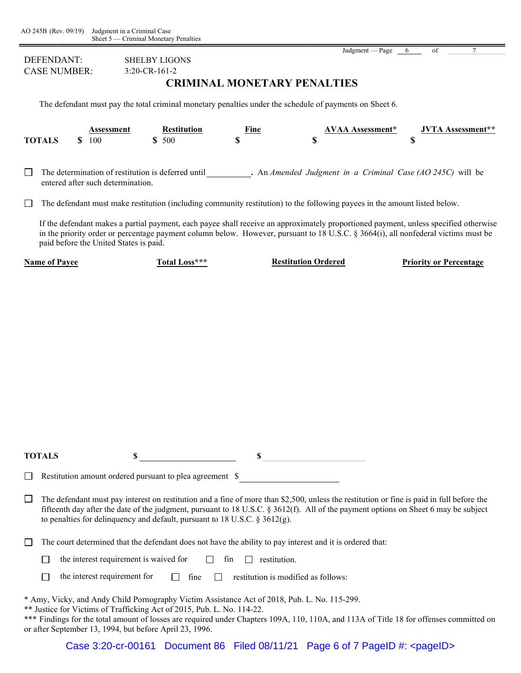| Judgment — Page |  |  |
|-----------------|--|--|
|                 |  |  |

| DEFENDANT:<br><b>CASE NUMBER:</b> |                                                                                                                                                                                                                                                                                                                                                                                                                                                                                                                                                         |  | <b>SHELBY LIGONS</b><br>3:20-CR-161-2  |                                                                                                                                                                                                                                                                                                                                                                              |     | <b>CRIMINAL MONETARY PENALTIES</b> |                                     | $J^{\text{uugmcm}}$ - $I^{\text{agc}}$ |  |    |                               |
|-----------------------------------|---------------------------------------------------------------------------------------------------------------------------------------------------------------------------------------------------------------------------------------------------------------------------------------------------------------------------------------------------------------------------------------------------------------------------------------------------------------------------------------------------------------------------------------------------------|--|----------------------------------------|------------------------------------------------------------------------------------------------------------------------------------------------------------------------------------------------------------------------------------------------------------------------------------------------------------------------------------------------------------------------------|-----|------------------------------------|-------------------------------------|----------------------------------------|--|----|-------------------------------|
|                                   |                                                                                                                                                                                                                                                                                                                                                                                                                                                                                                                                                         |  |                                        | The defendant must pay the total criminal monetary penalties under the schedule of payments on Sheet 6.                                                                                                                                                                                                                                                                      |     |                                    |                                     |                                        |  |    |                               |
|                                   | <b>TOTALS</b>                                                                                                                                                                                                                                                                                                                                                                                                                                                                                                                                           |  | <b>Assessment</b><br>\$100             | <b>Restitution</b><br>\$500                                                                                                                                                                                                                                                                                                                                                  |     | Fine<br>\$                         | \$                                  | <b>AVAA Assessment*</b>                |  | \$ | <b>JVTA Assessment**</b>      |
| $\perp$                           | The determination of restitution is deferred until . An Amended Judgment in a Criminal Case (AO 245C) will be<br>entered after such determination.                                                                                                                                                                                                                                                                                                                                                                                                      |  |                                        |                                                                                                                                                                                                                                                                                                                                                                              |     |                                    |                                     |                                        |  |    |                               |
| $\mathbf{L}$                      |                                                                                                                                                                                                                                                                                                                                                                                                                                                                                                                                                         |  |                                        | The defendant must make restitution (including community restitution) to the following payees in the amount listed below.                                                                                                                                                                                                                                                    |     |                                    |                                     |                                        |  |    |                               |
|                                   |                                                                                                                                                                                                                                                                                                                                                                                                                                                                                                                                                         |  | paid before the United States is paid. | If the defendant makes a partial payment, each payee shall receive an approximately proportioned payment, unless specified otherwise<br>in the priority order or percentage payment column below. However, pursuant to 18 U.S.C. § 3664(i), all nonfederal victims must be                                                                                                   |     |                                    |                                     |                                        |  |    |                               |
|                                   | <b>Name of Payee</b>                                                                                                                                                                                                                                                                                                                                                                                                                                                                                                                                    |  |                                        | Total Loss***                                                                                                                                                                                                                                                                                                                                                                |     |                                    | <b>Restitution Ordered</b>          |                                        |  |    | <b>Priority or Percentage</b> |
|                                   | <b>TOTALS</b>                                                                                                                                                                                                                                                                                                                                                                                                                                                                                                                                           |  | \$                                     |                                                                                                                                                                                                                                                                                                                                                                              |     |                                    |                                     |                                        |  |    |                               |
|                                   |                                                                                                                                                                                                                                                                                                                                                                                                                                                                                                                                                         |  |                                        |                                                                                                                                                                                                                                                                                                                                                                              |     |                                    |                                     |                                        |  |    |                               |
| ⊔                                 | Restitution amount ordered pursuant to plea agreement \$<br><u> 1980 - Jan Barbara Barat III, marka Barbara Barbara Barbara Barbara Barbara Barbara Barbara Barbara Barbara B</u><br>The defendant must pay interest on restitution and a fine of more than \$2,500, unless the restitution or fine is paid in full before the<br>fifteenth day after the date of the judgment, pursuant to 18 U.S.C. § 3612(f). All of the payment options on Sheet 6 may be subject<br>to penalties for delinquency and default, pursuant to 18 U.S.C. $\S 3612(g)$ . |  |                                        |                                                                                                                                                                                                                                                                                                                                                                              |     |                                    |                                     |                                        |  |    |                               |
|                                   |                                                                                                                                                                                                                                                                                                                                                                                                                                                                                                                                                         |  |                                        | The court determined that the defendant does not have the ability to pay interest and it is ordered that:                                                                                                                                                                                                                                                                    |     |                                    |                                     |                                        |  |    |                               |
|                                   |                                                                                                                                                                                                                                                                                                                                                                                                                                                                                                                                                         |  | the interest requirement is waived for |                                                                                                                                                                                                                                                                                                                                                                              | fin | $\Box$ restitution.                |                                     |                                        |  |    |                               |
|                                   |                                                                                                                                                                                                                                                                                                                                                                                                                                                                                                                                                         |  | the interest requirement for           | $\Box$ fine                                                                                                                                                                                                                                                                                                                                                                  |     |                                    | restitution is modified as follows: |                                        |  |    |                               |
|                                   |                                                                                                                                                                                                                                                                                                                                                                                                                                                                                                                                                         |  |                                        | * Amy, Vicky, and Andy Child Pornography Victim Assistance Act of 2018, Pub. L. No. 115-299.<br>** Justice for Victims of Trafficking Act of 2015, Pub. L. No. 114-22.<br>*** Findings for the total amount of losses are required under Chapters 109A, 110, 110A, and 113A of Title 18 for offenses committed on<br>or after September 13, 1994, but before April 23, 1996. |     |                                    |                                     |                                        |  |    |                               |